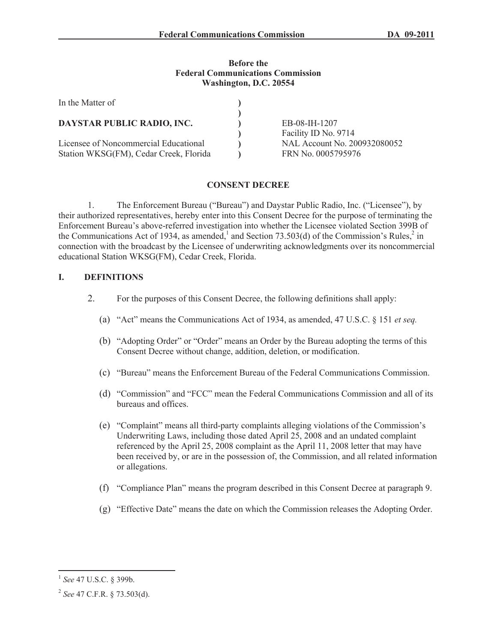#### **Before the Federal Communications Commission Washington, D.C. 20554**

| In the Matter of                                                                |                                                                            |
|---------------------------------------------------------------------------------|----------------------------------------------------------------------------|
| DAYSTAR PUBLIC RADIO, INC.                                                      | EB-08-IH-1207                                                              |
| Licensee of Noncommercial Educational<br>Station WKSG(FM), Cedar Creek, Florida | Facility ID No. 9714<br>NAL Account No. 200932080052<br>FRN No. 0005795976 |

# **CONSENT DECREE**

1. The Enforcement Bureau ("Bureau") and Daystar Public Radio, Inc. ("Licensee"), by their authorized representatives, hereby enter into this Consent Decree for the purpose of terminating the Enforcement Bureau's above-referred investigation into whether the Licensee violated Section 399B of the Communications Act of 1934, as amended,<sup>1</sup> and Section 73.503(d) of the Commission's Rules,<sup>2</sup> in connection with the broadcast by the Licensee of underwriting acknowledgments over its noncommercial educational Station WKSG(FM), Cedar Creek, Florida.

## **I. DEFINITIONS**

- 2. For the purposes of this Consent Decree, the following definitions shall apply:
	- (a) "Act" means the Communications Act of 1934, as amended, 47 U.S.C. § 151 *et seq.*
	- (b) "Adopting Order" or "Order" means an Order by the Bureau adopting the terms of this Consent Decree without change, addition, deletion, or modification.
	- (c) "Bureau" means the Enforcement Bureau of the Federal Communications Commission.
	- (d) "Commission" and "FCC" mean the Federal Communications Commission and all of its bureaus and offices.
	- (e) "Complaint" means all third-party complaints alleging violations of the Commission's Underwriting Laws, including those dated April 25, 2008 and an undated complaint referenced by the April 25, 2008 complaint as the April 11, 2008 letter that may have been received by, or are in the possession of, the Commission, and all related information or allegations.
	- (f) "Compliance Plan" means the program described in this Consent Decree at paragraph 9.
	- (g) "Effective Date" means the date on which the Commission releases the Adopting Order.

<sup>1</sup> *See* 47 U.S.C. § 399b.

<sup>2</sup> *See* 47 C.F.R. § 73.503(d).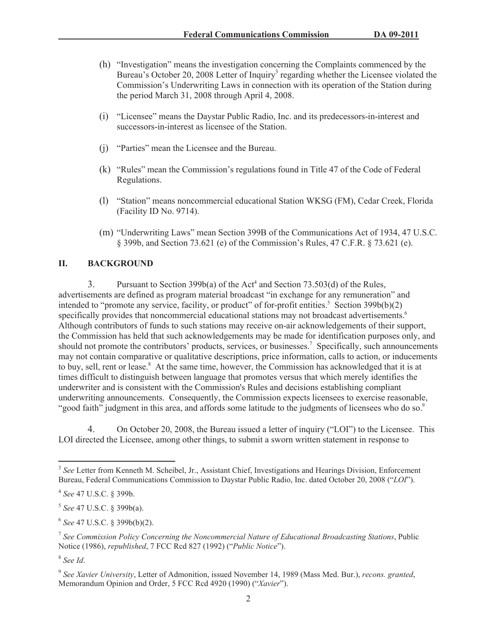- (h) "Investigation" means the investigation concerning the Complaints commenced by the Bureau's October 20, 2008 Letter of Inquiry<sup>3</sup> regarding whether the Licensee violated the Commission's Underwriting Laws in connection with its operation of the Station during the period March 31, 2008 through April 4, 2008.
- (i) "Licensee" means the Daystar Public Radio, Inc. and its predecessors-in-interest and successors-in-interest as licensee of the Station.
- (j) "Parties" mean the Licensee and the Bureau.
- (k) "Rules" mean the Commission's regulations found in Title 47 of the Code of Federal Regulations.
- (l) "Station" means noncommercial educational Station WKSG (FM), Cedar Creek, Florida (Facility ID No. 9714).
- (m) "Underwriting Laws" mean Section 399B of the Communications Act of 1934, 47 U.S.C. § 399b, and Section 73.621 (e) of the Commission's Rules, 47 C.F.R. § 73.621 (e).

## **II. BACKGROUND**

3. Pursuant to Section 399b(a) of the Act<sup>4</sup> and Section 73.503(d) of the Rules, advertisements are defined as program material broadcast "in exchange for any remuneration" and intended to "promote any service, facility, or product" of for-profit entities.<sup>5</sup> Section 399b(b)(2) specifically provides that noncommercial educational stations may not broadcast advertisements.<sup>6</sup> Although contributors of funds to such stations may receive on-air acknowledgements of their support, the Commission has held that such acknowledgements may be made for identification purposes only, and should not promote the contributors' products, services, or businesses.<sup>7</sup> Specifically, such announcements may not contain comparative or qualitative descriptions, price information, calls to action, or inducements to buy, sell, rent or lease.<sup>8</sup> At the same time, however, the Commission has acknowledged that it is at times difficult to distinguish between language that promotes versus that which merely identifies the underwriter and is consistent with the Commission's Rules and decisions establishing compliant underwriting announcements. Consequently, the Commission expects licensees to exercise reasonable, "good faith" judgment in this area, and affords some latitude to the judgments of licensees who do so.<sup>9</sup>

4. On October 20, 2008, the Bureau issued a letter of inquiry ("LOI") to the Licensee. This LOI directed the Licensee, among other things, to submit a sworn written statement in response to

<sup>&</sup>lt;sup>3</sup> See Letter from Kenneth M. Scheibel, Jr., Assistant Chief, Investigations and Hearings Division, Enforcement Bureau, Federal Communications Commission to Daystar Public Radio, Inc. dated October 20, 2008 ("*LOI*").

<sup>4</sup> *See* 47 U.S.C. § 399b.

<sup>5</sup> *See* 47 U.S.C. § 399b(a).

<sup>6</sup> *See* 47 U.S.C. § 399b(b)(2).

<sup>7</sup> *See Commission Policy Concerning the Noncommercial Nature of Educational Broadcasting Stations*, Public Notice (1986), *republished*, 7 FCC Rcd 827 (1992) ("*Public Notice*").

<sup>8</sup> *See Id*.

<sup>9</sup> *See Xavier University*, Letter of Admonition, issued November 14, 1989 (Mass Med. Bur.), *recons. granted*, Memorandum Opinion and Order, 5 FCC Rcd 4920 (1990) ("*Xavier*").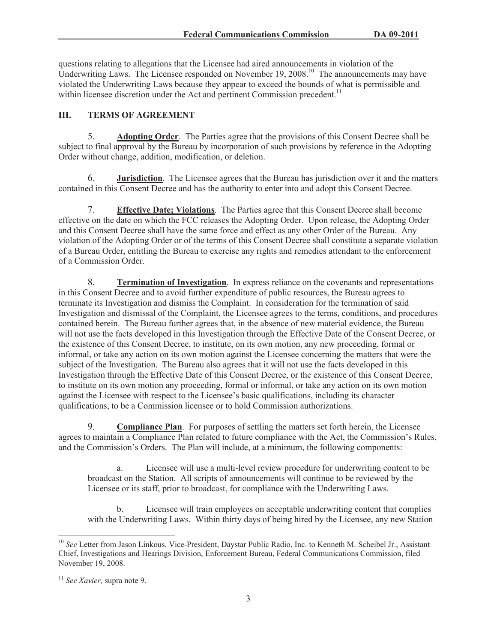questions relating to allegations that the Licensee had aired announcements in violation of the Underwriting Laws. The Licensee responded on November  $19, 2008$ .<sup>10</sup> The announcements may have violated the Underwriting Laws because they appear to exceed the bounds of what is permissible and within licensee discretion under the Act and pertinent Commission precedent.<sup>11</sup>

# **III. TERMS OF AGREEMENT**

5. **Adopting Order**. The Parties agree that the provisions of this Consent Decree shall be subject to final approval by the Bureau by incorporation of such provisions by reference in the Adopting Order without change, addition, modification, or deletion.

6. **Jurisdiction**. The Licensee agrees that the Bureau has jurisdiction over it and the matters contained in this Consent Decree and has the authority to enter into and adopt this Consent Decree.

7. **Effective Date; Violations**. The Parties agree that this Consent Decree shall become effective on the date on which the FCC releases the Adopting Order. Upon release, the Adopting Order and this Consent Decree shall have the same force and effect as any other Order of the Bureau. Any violation of the Adopting Order or of the terms of this Consent Decree shall constitute a separate violation of a Bureau Order, entitling the Bureau to exercise any rights and remedies attendant to the enforcement of a Commission Order.

8. **Termination of Investigation**. In express reliance on the covenants and representations in this Consent Decree and to avoid further expenditure of public resources, the Bureau agrees to terminate its Investigation and dismiss the Complaint. In consideration for the termination of said Investigation and dismissal of the Complaint, the Licensee agrees to the terms, conditions, and procedures contained herein. The Bureau further agrees that, in the absence of new material evidence, the Bureau will not use the facts developed in this Investigation through the Effective Date of the Consent Decree, or the existence of this Consent Decree, to institute, on its own motion, any new proceeding, formal or informal, or take any action on its own motion against the Licensee concerning the matters that were the subject of the Investigation. The Bureau also agrees that it will not use the facts developed in this Investigation through the Effective Date of this Consent Decree, or the existence of this Consent Decree, to institute on its own motion any proceeding, formal or informal, or take any action on its own motion against the Licensee with respect to the Licensee's basic qualifications, including its character qualifications, to be a Commission licensee or to hold Commission authorizations.

9. **Compliance Plan**. For purposes of settling the matters set forth herein, the Licensee agrees to maintain a Compliance Plan related to future compliance with the Act, the Commission's Rules, and the Commission's Orders. The Plan will include, at a minimum, the following components:

a. Licensee will use a multi-level review procedure for underwriting content to be broadcast on the Station. All scripts of announcements will continue to be reviewed by the Licensee or its staff, prior to broadcast, for compliance with the Underwriting Laws.

b. Licensee will train employees on acceptable underwriting content that complies with the Underwriting Laws. Within thirty days of being hired by the Licensee, any new Station

<sup>10</sup> *See* Letter from Jason Linkous, Vice-President, Daystar Public Radio, Inc. to Kenneth M. Scheibel Jr., Assistant Chief, Investigations and Hearings Division, Enforcement Bureau, Federal Communications Commission, filed November 19, 2008.

<sup>11</sup> *See Xavier,* supra note 9.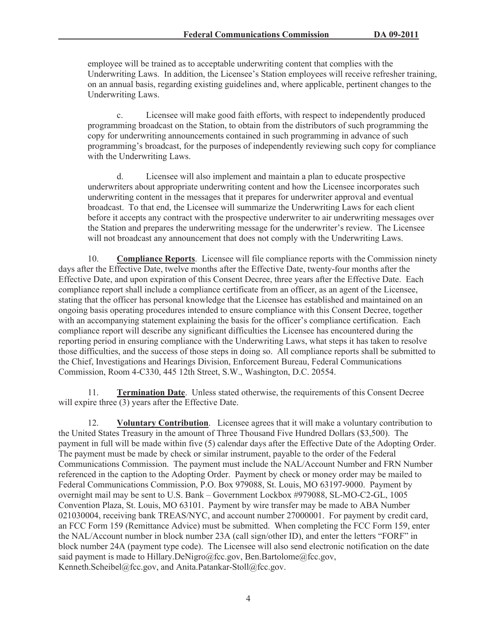employee will be trained as to acceptable underwriting content that complies with the Underwriting Laws. In addition, the Licensee's Station employees will receive refresher training, on an annual basis, regarding existing guidelines and, where applicable, pertinent changes to the Underwriting Laws.

c. Licensee will make good faith efforts, with respect to independently produced programming broadcast on the Station, to obtain from the distributors of such programming the copy for underwriting announcements contained in such programming in advance of such programming's broadcast, for the purposes of independently reviewing such copy for compliance with the Underwriting Laws.

d. Licensee will also implement and maintain a plan to educate prospective underwriters about appropriate underwriting content and how the Licensee incorporates such underwriting content in the messages that it prepares for underwriter approval and eventual broadcast. To that end, the Licensee will summarize the Underwriting Laws for each client before it accepts any contract with the prospective underwriter to air underwriting messages over the Station and prepares the underwriting message for the underwriter's review. The Licensee will not broadcast any announcement that does not comply with the Underwriting Laws.

10. **Compliance Reports**. Licensee will file compliance reports with the Commission ninety days after the Effective Date, twelve months after the Effective Date, twenty-four months after the Effective Date, and upon expiration of this Consent Decree, three years after the Effective Date. Each compliance report shall include a compliance certificate from an officer, as an agent of the Licensee, stating that the officer has personal knowledge that the Licensee has established and maintained on an ongoing basis operating procedures intended to ensure compliance with this Consent Decree, together with an accompanying statement explaining the basis for the officer's compliance certification. Each compliance report will describe any significant difficulties the Licensee has encountered during the reporting period in ensuring compliance with the Underwriting Laws, what steps it has taken to resolve those difficulties, and the success of those steps in doing so. All compliance reports shall be submitted to the Chief, Investigations and Hearings Division, Enforcement Bureau, Federal Communications Commission, Room 4-C330, 445 12th Street, S.W., Washington, D.C. 20554.

**Termination Date**. Unless stated otherwise, the requirements of this Consent Decree will expire three  $\overline{(3)}$  years after the Effective Date.

12. **Voluntary Contribution**. Licensee agrees that it will make a voluntary contribution to the United States Treasury in the amount of Three Thousand Five Hundred Dollars (\$3,500). The payment in full will be made within five (5) calendar days after the Effective Date of the Adopting Order. The payment must be made by check or similar instrument, payable to the order of the Federal Communications Commission. The payment must include the NAL/Account Number and FRN Number referenced in the caption to the Adopting Order. Payment by check or money order may be mailed to Federal Communications Commission, P.O. Box 979088, St. Louis, MO 63197-9000. Payment by overnight mail may be sent to U.S. Bank – Government Lockbox #979088, SL-MO-C2-GL, 1005 Convention Plaza, St. Louis, MO 63101. Payment by wire transfer may be made to ABA Number 021030004, receiving bank TREAS/NYC, and account number 27000001. For payment by credit card, an FCC Form 159 (Remittance Advice) must be submitted. When completing the FCC Form 159, enter the NAL/Account number in block number 23A (call sign/other ID), and enter the letters "FORF" in block number 24A (payment type code). The Licensee will also send electronic notification on the date said payment is made to Hillary.DeNigro@fcc.gov, Ben.Bartolome@fcc.gov, Kenneth.Scheibel@fcc.gov, and Anita.Patankar-Stoll@fcc.gov.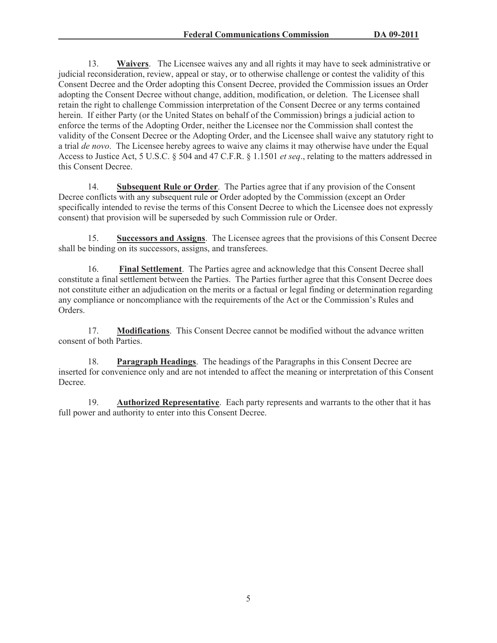13. **Waivers**. The Licensee waives any and all rights it may have to seek administrative or judicial reconsideration, review, appeal or stay, or to otherwise challenge or contest the validity of this Consent Decree and the Order adopting this Consent Decree, provided the Commission issues an Order adopting the Consent Decree without change, addition, modification, or deletion. The Licensee shall retain the right to challenge Commission interpretation of the Consent Decree or any terms contained herein. If either Party (or the United States on behalf of the Commission) brings a judicial action to enforce the terms of the Adopting Order, neither the Licensee nor the Commission shall contest the validity of the Consent Decree or the Adopting Order, and the Licensee shall waive any statutory right to a trial *de novo*. The Licensee hereby agrees to waive any claims it may otherwise have under the Equal Access to Justice Act, 5 U.S.C. § 504 and 47 C.F.R. § 1.1501 *et seq*., relating to the matters addressed in this Consent Decree.

14. **Subsequent Rule or Order**. The Parties agree that if any provision of the Consent Decree conflicts with any subsequent rule or Order adopted by the Commission (except an Order specifically intended to revise the terms of this Consent Decree to which the Licensee does not expressly consent) that provision will be superseded by such Commission rule or Order.

15. **Successors and Assigns**. The Licensee agrees that the provisions of this Consent Decree shall be binding on its successors, assigns, and transferees.

16. **Final Settlement**. The Parties agree and acknowledge that this Consent Decree shall constitute a final settlement between the Parties. The Parties further agree that this Consent Decree does not constitute either an adjudication on the merits or a factual or legal finding or determination regarding any compliance or noncompliance with the requirements of the Act or the Commission's Rules and Orders.

17. **Modifications**. This Consent Decree cannot be modified without the advance written consent of both Parties.

18. **Paragraph Headings**. The headings of the Paragraphs in this Consent Decree are inserted for convenience only and are not intended to affect the meaning or interpretation of this Consent Decree.

19. **Authorized Representative**. Each party represents and warrants to the other that it has full power and authority to enter into this Consent Decree.